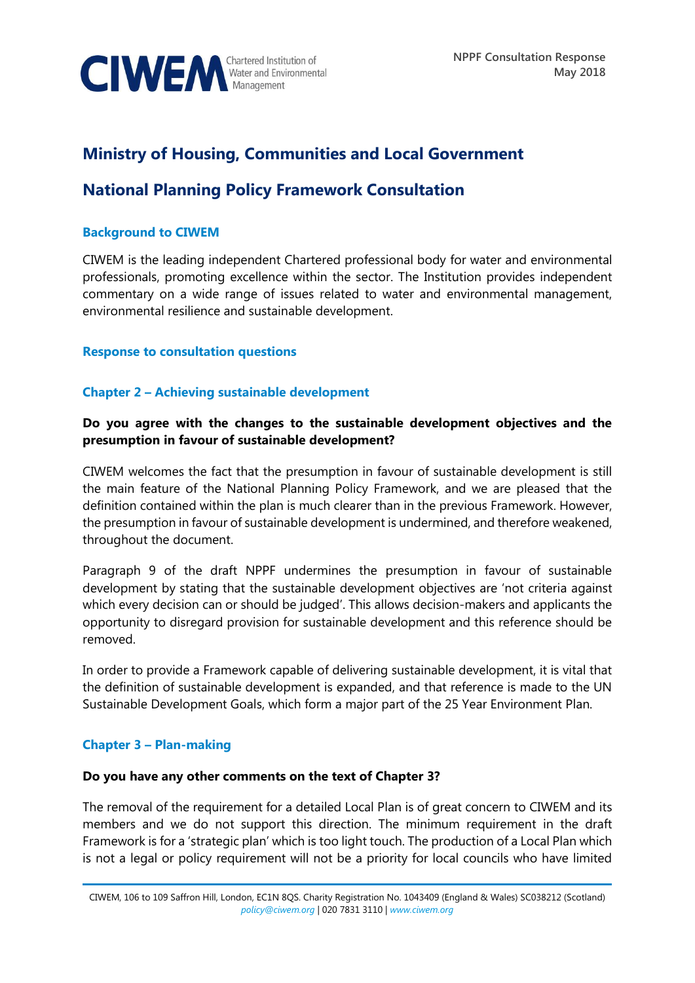

# **Ministry of Housing, Communities and Local Government**

# **National Planning Policy Framework Consultation**

### **Background to CIWEM**

CIWEM is the leading independent Chartered professional body for water and environmental professionals, promoting excellence within the sector. The Institution provides independent commentary on a wide range of issues related to water and environmental management, environmental resilience and sustainable development.

## **Response to consultation questions**

## **Chapter 2 – Achieving sustainable development**

# **Do you agree with the changes to the sustainable development objectives and the presumption in favour of sustainable development?**

CIWEM welcomes the fact that the presumption in favour of sustainable development is still the main feature of the National Planning Policy Framework, and we are pleased that the definition contained within the plan is much clearer than in the previous Framework. However, the presumption in favour of sustainable development is undermined, and therefore weakened, throughout the document.

Paragraph 9 of the draft NPPF undermines the presumption in favour of sustainable development by stating that the sustainable development objectives are 'not criteria against which every decision can or should be judged'. This allows decision-makers and applicants the opportunity to disregard provision for sustainable development and this reference should be removed.

In order to provide a Framework capable of delivering sustainable development, it is vital that the definition of sustainable development is expanded, and that reference is made to the UN Sustainable Development Goals, which form a major part of the 25 Year Environment Plan.

## **Chapter 3 – Plan-making**

#### **Do you have any other comments on the text of Chapter 3?**

The removal of the requirement for a detailed Local Plan is of great concern to CIWEM and its members and we do not support this direction. The minimum requirement in the draft Framework is for a 'strategic plan' which is too light touch. The production of a Local Plan which is not a legal or policy requirement will not be a priority for local councils who have limited

CIWEM, 106 to 109 Saffron Hill, London, EC1N 8QS. Charity Registration No. 1043409 (England & Wales) SC038212 (Scotland) *[policy@ciwem.org](mailto:policy@ciwem.org)* | 020 7831 3110 | *[www.ciwem.org](http://www.ciwem.org/)*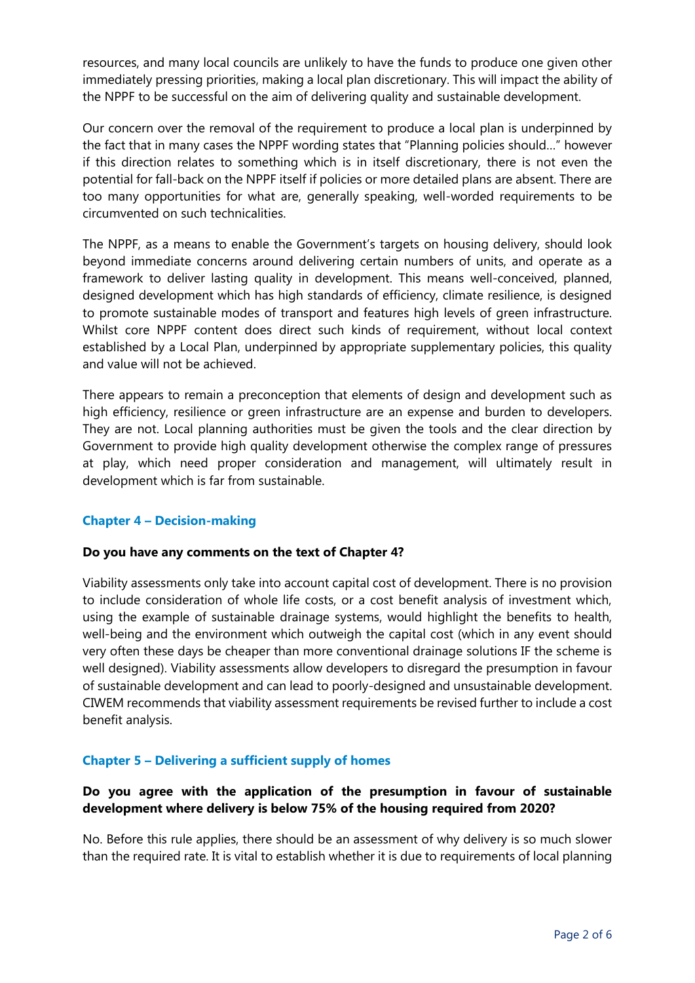resources, and many local councils are unlikely to have the funds to produce one given other immediately pressing priorities, making a local plan discretionary. This will impact the ability of the NPPF to be successful on the aim of delivering quality and sustainable development.

Our concern over the removal of the requirement to produce a local plan is underpinned by the fact that in many cases the NPPF wording states that "Planning policies should…" however if this direction relates to something which is in itself discretionary, there is not even the potential for fall-back on the NPPF itself if policies or more detailed plans are absent. There are too many opportunities for what are, generally speaking, well-worded requirements to be circumvented on such technicalities.

The NPPF, as a means to enable the Government's targets on housing delivery, should look beyond immediate concerns around delivering certain numbers of units, and operate as a framework to deliver lasting quality in development. This means well-conceived, planned, designed development which has high standards of efficiency, climate resilience, is designed to promote sustainable modes of transport and features high levels of green infrastructure. Whilst core NPPF content does direct such kinds of requirement, without local context established by a Local Plan, underpinned by appropriate supplementary policies, this quality and value will not be achieved.

There appears to remain a preconception that elements of design and development such as high efficiency, resilience or green infrastructure are an expense and burden to developers. They are not. Local planning authorities must be given the tools and the clear direction by Government to provide high quality development otherwise the complex range of pressures at play, which need proper consideration and management, will ultimately result in development which is far from sustainable.

## **Chapter 4 – Decision-making**

## **Do you have any comments on the text of Chapter 4?**

Viability assessments only take into account capital cost of development. There is no provision to include consideration of whole life costs, or a cost benefit analysis of investment which, using the example of sustainable drainage systems, would highlight the benefits to health, well-being and the environment which outweigh the capital cost (which in any event should very often these days be cheaper than more conventional drainage solutions IF the scheme is well designed). Viability assessments allow developers to disregard the presumption in favour of sustainable development and can lead to poorly-designed and unsustainable development. CIWEM recommends that viability assessment requirements be revised further to include a cost benefit analysis.

## **Chapter 5 – Delivering a sufficient supply of homes**

# **Do you agree with the application of the presumption in favour of sustainable development where delivery is below 75% of the housing required from 2020?**

No. Before this rule applies, there should be an assessment of why delivery is so much slower than the required rate. It is vital to establish whether it is due to requirements of local planning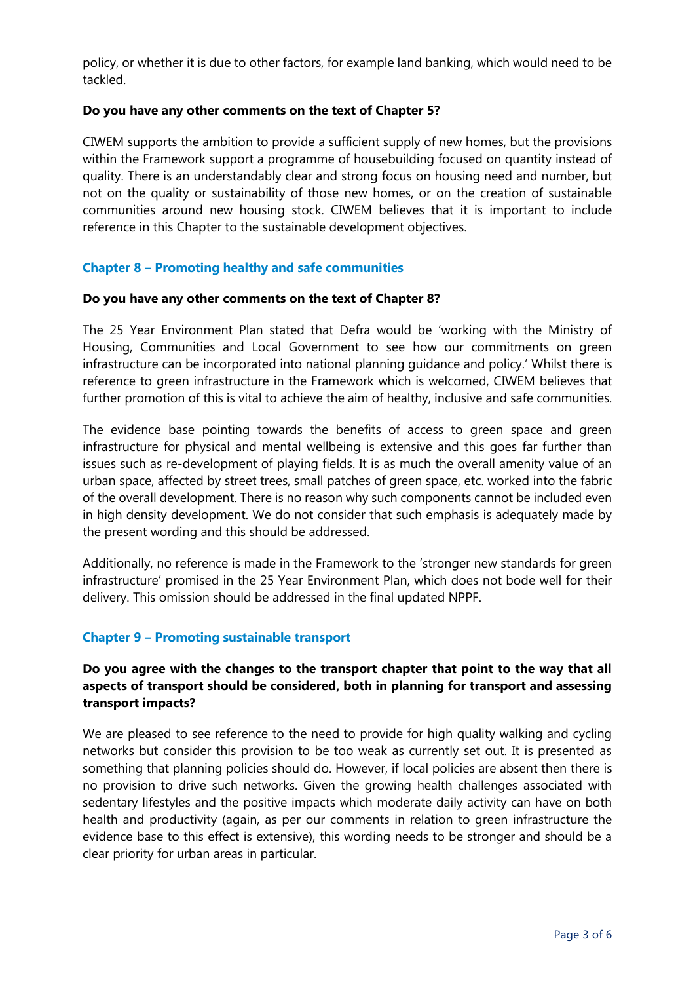policy, or whether it is due to other factors, for example land banking, which would need to be tackled.

## **Do you have any other comments on the text of Chapter 5?**

CIWEM supports the ambition to provide a sufficient supply of new homes, but the provisions within the Framework support a programme of housebuilding focused on quantity instead of quality. There is an understandably clear and strong focus on housing need and number, but not on the quality or sustainability of those new homes, or on the creation of sustainable communities around new housing stock. CIWEM believes that it is important to include reference in this Chapter to the sustainable development objectives.

# **Chapter 8 – Promoting healthy and safe communities**

## **Do you have any other comments on the text of Chapter 8?**

The 25 Year Environment Plan stated that Defra would be 'working with the Ministry of Housing, Communities and Local Government to see how our commitments on green infrastructure can be incorporated into national planning guidance and policy.' Whilst there is reference to green infrastructure in the Framework which is welcomed, CIWEM believes that further promotion of this is vital to achieve the aim of healthy, inclusive and safe communities.

The evidence base pointing towards the benefits of access to green space and green infrastructure for physical and mental wellbeing is extensive and this goes far further than issues such as re-development of playing fields. It is as much the overall amenity value of an urban space, affected by street trees, small patches of green space, etc. worked into the fabric of the overall development. There is no reason why such components cannot be included even in high density development. We do not consider that such emphasis is adequately made by the present wording and this should be addressed.

Additionally, no reference is made in the Framework to the 'stronger new standards for green infrastructure' promised in the 25 Year Environment Plan, which does not bode well for their delivery. This omission should be addressed in the final updated NPPF.

## **Chapter 9 – Promoting sustainable transport**

# **Do you agree with the changes to the transport chapter that point to the way that all aspects of transport should be considered, both in planning for transport and assessing transport impacts?**

We are pleased to see reference to the need to provide for high quality walking and cycling networks but consider this provision to be too weak as currently set out. It is presented as something that planning policies should do. However, if local policies are absent then there is no provision to drive such networks. Given the growing health challenges associated with sedentary lifestyles and the positive impacts which moderate daily activity can have on both health and productivity (again, as per our comments in relation to green infrastructure the evidence base to this effect is extensive), this wording needs to be stronger and should be a clear priority for urban areas in particular.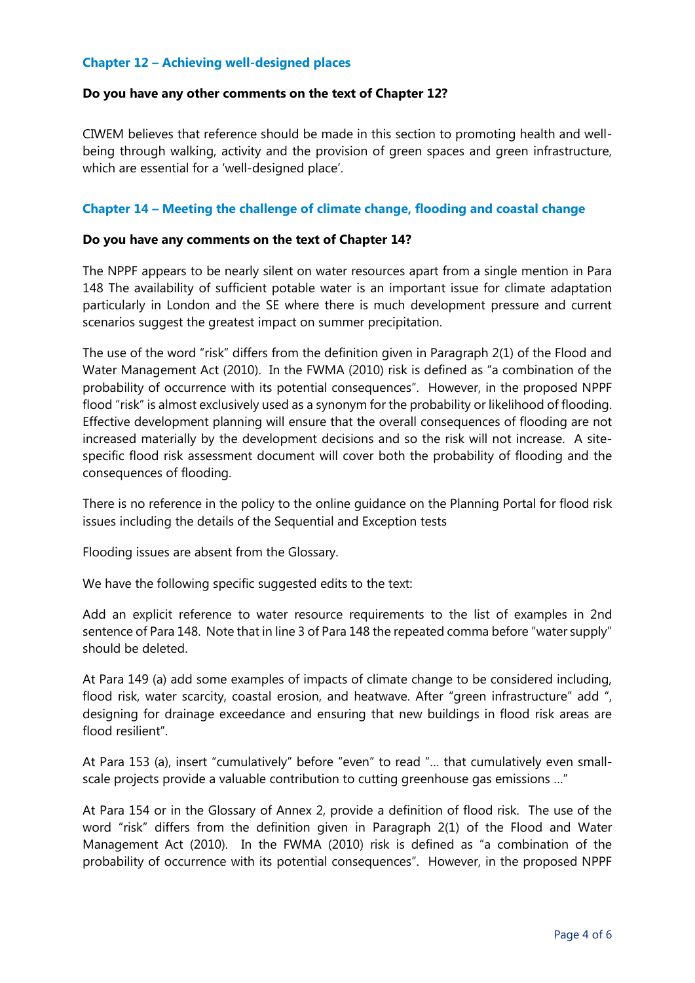## **Chapter 12 – Achieving well-designed places**

#### **Do you have any other comments on the text of Chapter 12?**

CIWEM believes that reference should be made in this section to promoting health and wellbeing through walking, activity and the provision of green spaces and green infrastructure, which are essential for a 'well-designed place'.

## **Chapter 14 – Meeting the challenge of climate change, flooding and coastal change**

#### **Do you have any comments on the text of Chapter 14?**

The NPPF appears to be nearly silent on water resources apart from a single mention in Para 148 The availability of sufficient potable water is an important issue for climate adaptation particularly in London and the SE where there is much development pressure and current scenarios suggest the greatest impact on summer precipitation.

The use of the word "risk" differs from the definition given in Paragraph 2(1) of the Flood and Water Management Act (2010). In the FWMA (2010) risk is defined as "a combination of the probability of occurrence with its potential consequences". However, in the proposed NPPF flood "risk" is almost exclusively used as a synonym for the probability or likelihood of flooding. Effective development planning will ensure that the overall consequences of flooding are not increased materially by the development decisions and so the risk will not increase. A sitespecific flood risk assessment document will cover both the probability of flooding and the consequences of flooding.

There is no reference in the policy to the online guidance on the Planning Portal for flood risk issues including the details of the Sequential and Exception tests

Flooding issues are absent from the Glossary.

We have the following specific suggested edits to the text:

Add an explicit reference to water resource requirements to the list of examples in 2nd sentence of Para 148. Note that in line 3 of Para 148 the repeated comma before "water supply" should be deleted.

At Para 149 (a) add some examples of impacts of climate change to be considered including, flood risk, water scarcity, coastal erosion, and heatwave. After "green infrastructure" add ", designing for drainage exceedance and ensuring that new buildings in flood risk areas are flood resilient".

At Para 153 (a), insert "cumulatively" before "even" to read "… that cumulatively even smallscale projects provide a valuable contribution to cutting greenhouse gas emissions …"

At Para 154 or in the Glossary of Annex 2, provide a definition of flood risk. The use of the word "risk" differs from the definition given in Paragraph 2(1) of the Flood and Water Management Act (2010). In the FWMA (2010) risk is defined as "a combination of the probability of occurrence with its potential consequences". However, in the proposed NPPF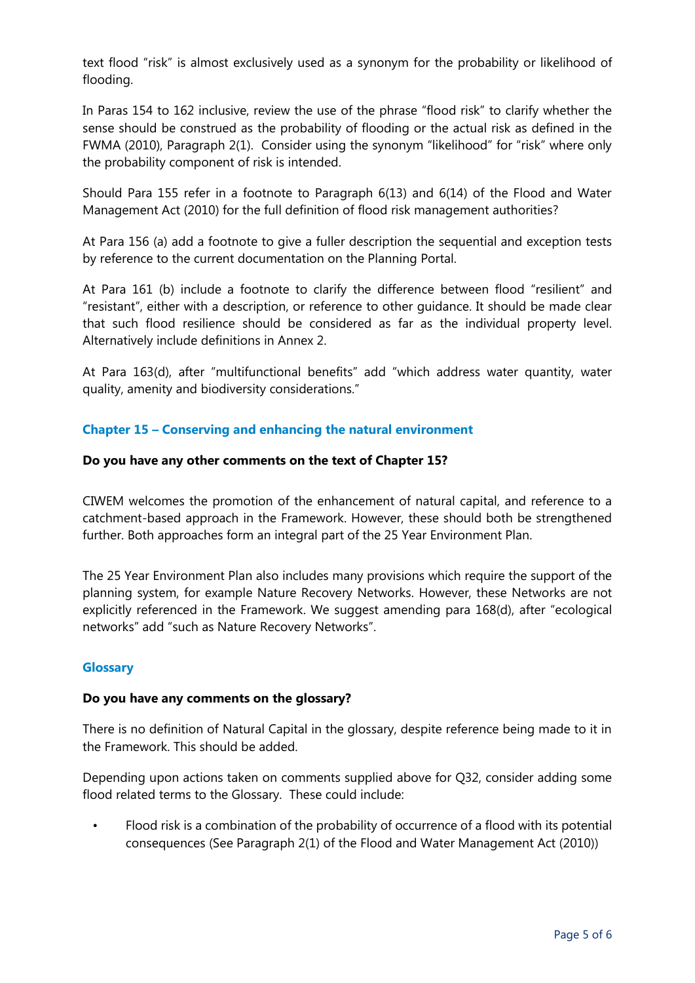text flood "risk" is almost exclusively used as a synonym for the probability or likelihood of flooding.

In Paras 154 to 162 inclusive, review the use of the phrase "flood risk" to clarify whether the sense should be construed as the probability of flooding or the actual risk as defined in the FWMA (2010), Paragraph 2(1). Consider using the synonym "likelihood" for "risk" where only the probability component of risk is intended.

Should Para 155 refer in a footnote to Paragraph 6(13) and 6(14) of the Flood and Water Management Act (2010) for the full definition of flood risk management authorities?

At Para 156 (a) add a footnote to give a fuller description the sequential and exception tests by reference to the current documentation on the Planning Portal.

At Para 161 (b) include a footnote to clarify the difference between flood "resilient" and "resistant", either with a description, or reference to other guidance. It should be made clear that such flood resilience should be considered as far as the individual property level. Alternatively include definitions in Annex 2.

At Para 163(d), after "multifunctional benefits" add "which address water quantity, water quality, amenity and biodiversity considerations."

# **Chapter 15 – Conserving and enhancing the natural environment**

#### **Do you have any other comments on the text of Chapter 15?**

CIWEM welcomes the promotion of the enhancement of natural capital, and reference to a catchment-based approach in the Framework. However, these should both be strengthened further. Both approaches form an integral part of the 25 Year Environment Plan.

The 25 Year Environment Plan also includes many provisions which require the support of the planning system, for example Nature Recovery Networks. However, these Networks are not explicitly referenced in the Framework. We suggest amending para 168(d), after "ecological networks" add "such as Nature Recovery Networks".

## **Glossary**

#### **Do you have any comments on the glossary?**

There is no definition of Natural Capital in the glossary, despite reference being made to it in the Framework. This should be added.

Depending upon actions taken on comments supplied above for Q32, consider adding some flood related terms to the Glossary. These could include:

• Flood risk is a combination of the probability of occurrence of a flood with its potential consequences (See Paragraph 2(1) of the Flood and Water Management Act (2010))